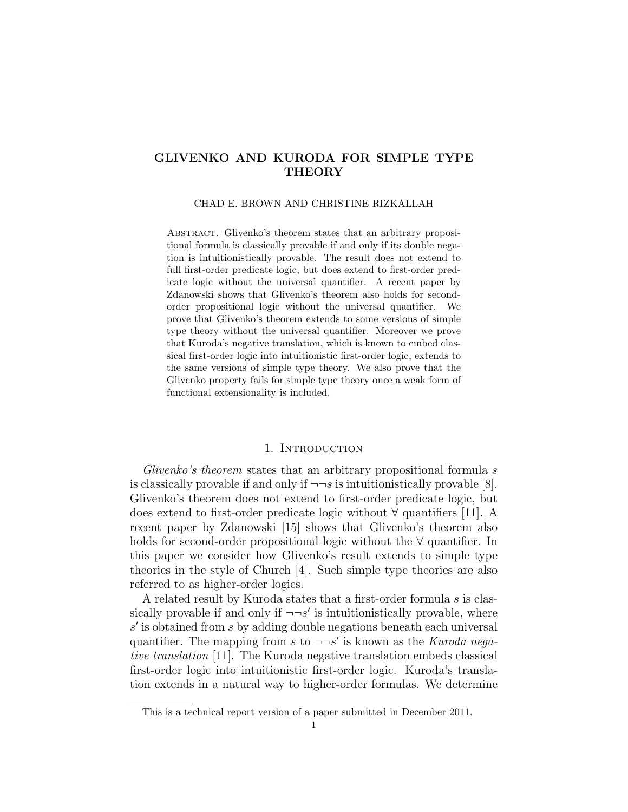# GLIVENKO AND KURODA FOR SIMPLE TYPE **THEORY**

#### CHAD E. BROWN AND CHRISTINE RIZKALLAH

ABSTRACT. Glivenko's theorem states that an arbitrary propositional formula is classically provable if and only if its double negation is intuitionistically provable. The result does not extend to full first-order predicate logic, but does extend to first-order predicate logic without the universal quantifier. A recent paper by Zdanowski shows that Glivenko's theorem also holds for secondorder propositional logic without the universal quantifier. We prove that Glivenko's theorem extends to some versions of simple type theory without the universal quantifier. Moreover we prove that Kuroda's negative translation, which is known to embed classical first-order logic into intuitionistic first-order logic, extends to the same versions of simple type theory. We also prove that the Glivenko property fails for simple type theory once a weak form of functional extensionality is included.

# 1. INTRODUCTION

Glivenko's theorem states that an arbitrary propositional formula s is classically provable if and only if  $\neg\neg s$  is intuitionistically provable [8]. Glivenko's theorem does not extend to first-order predicate logic, but does extend to first-order predicate logic without ∀ quantifiers [11]. A recent paper by Zdanowski [15] shows that Glivenko's theorem also holds for second-order propositional logic without the ∀ quantifier. In this paper we consider how Glivenko's result extends to simple type theories in the style of Church [4]. Such simple type theories are also referred to as higher-order logics.

A related result by Kuroda states that a first-order formula s is classically provable if and only if  $\neg\neg s'$  is intuitionistically provable, where s ′ is obtained from s by adding double negations beneath each universal quantifier. The mapping from s to  $\neg\neg s'$  is known as the Kuroda negative translation [11]. The Kuroda negative translation embeds classical first-order logic into intuitionistic first-order logic. Kuroda's translation extends in a natural way to higher-order formulas. We determine

This is a technical report version of a paper submitted in December 2011.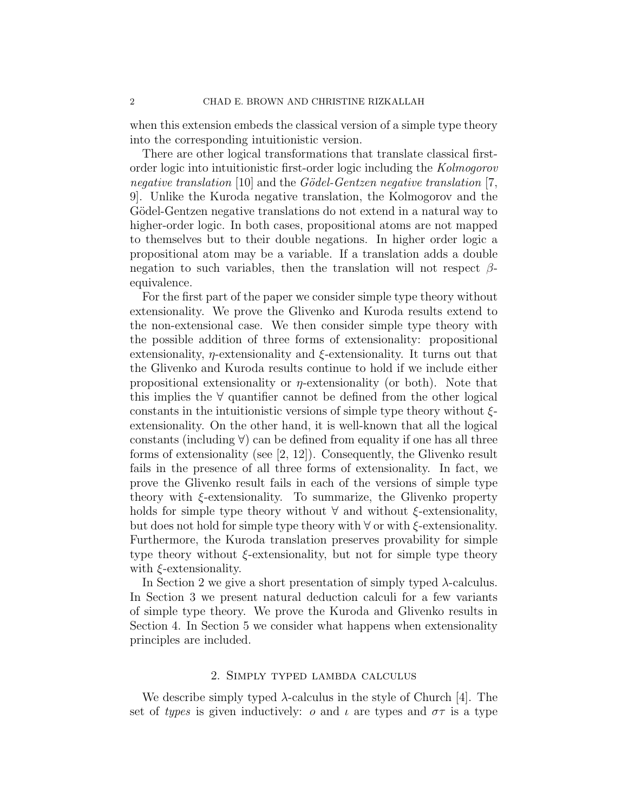when this extension embeds the classical version of a simple type theory into the corresponding intuitionistic version.

There are other logical transformations that translate classical firstorder logic into intuitionistic first-order logic including the Kolmogorov negative translation [10] and the Gödel-Gentzen negative translation [7, 9]. Unlike the Kuroda negative translation, the Kolmogorov and the Gödel-Gentzen negative translations do not extend in a natural way to higher-order logic. In both cases, propositional atoms are not mapped to themselves but to their double negations. In higher order logic a propositional atom may be a variable. If a translation adds a double negation to such variables, then the translation will not respect  $\beta$ equivalence.

For the first part of the paper we consider simple type theory without extensionality. We prove the Glivenko and Kuroda results extend to the non-extensional case. We then consider simple type theory with the possible addition of three forms of extensionality: propositional extensionality,  $\eta$ -extensionality and  $\xi$ -extensionality. It turns out that the Glivenko and Kuroda results continue to hold if we include either propositional extensionality or  $\eta$ -extensionality (or both). Note that this implies the ∀ quantifier cannot be defined from the other logical constants in the intuitionistic versions of simple type theory without  $\xi$ extensionality. On the other hand, it is well-known that all the logical constants (including  $\forall$ ) can be defined from equality if one has all three forms of extensionality (see [2, 12]). Consequently, the Glivenko result fails in the presence of all three forms of extensionality. In fact, we prove the Glivenko result fails in each of the versions of simple type theory with  $\xi$ -extensionality. To summarize, the Glivenko property holds for simple type theory without  $\forall$  and without  $\xi$ -extensionality, but does not hold for simple type theory with  $\forall$  or with  $\xi$ -extensionality. Furthermore, the Kuroda translation preserves provability for simple type theory without  $\xi$ -extensionality, but not for simple type theory with  $\xi$ -extensionality.

In Section 2 we give a short presentation of simply typed  $\lambda$ -calculus. In Section 3 we present natural deduction calculi for a few variants of simple type theory. We prove the Kuroda and Glivenko results in Section 4. In Section 5 we consider what happens when extensionality principles are included.

# 2. Simply typed lambda calculus

We describe simply typed  $\lambda$ -calculus in the style of Church [4]. The set of types is given inductively: o and  $\iota$  are types and  $\sigma\tau$  is a type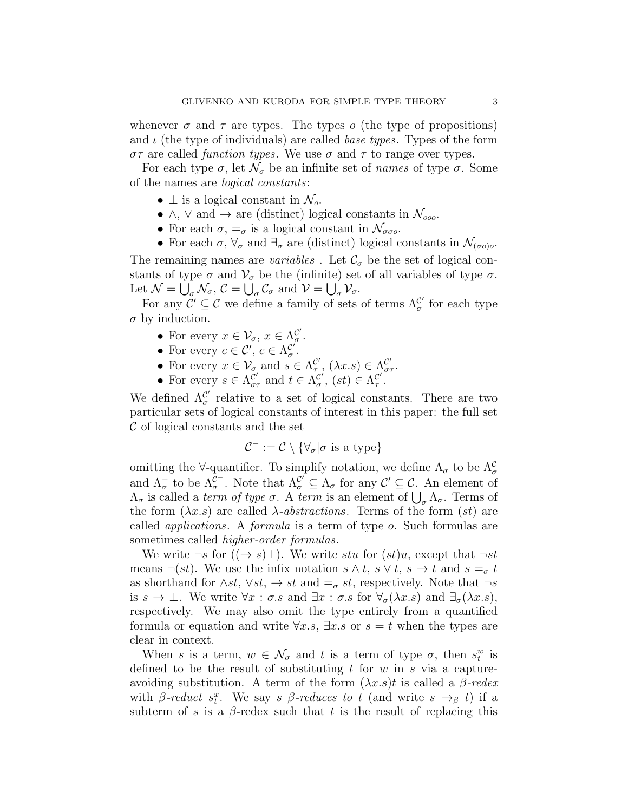whenever  $\sigma$  and  $\tau$  are types. The types  $\sigma$  (the type of propositions) and  $\iota$  (the type of individuals) are called *base types*. Types of the form  $\sigma\tau$  are called *function types*. We use  $\sigma$  and  $\tau$  to range over types.

For each type  $\sigma$ , let  $\mathcal{N}_{\sigma}$  be an infinite set of *names* of type  $\sigma$ . Some of the names are logical constants:

- $\perp$  is a logical constant in  $\mathcal{N}_o$ .
- $\land$ ,  $\lor$  and  $\rightarrow$  are (distinct) logical constants in  $\mathcal{N}_{oo}$ .
- For each  $\sigma$ ,  $=_{\sigma}$  is a logical constant in  $\mathcal{N}_{\sigma\sigma}$ .
- For each  $\sigma$ ,  $\forall_{\sigma}$  and  $\exists_{\sigma}$  are (distinct) logical constants in  $\mathcal{N}_{(\sigma o)o}$ . The remaining names are *variables*. Let  $\mathcal{C}_{\sigma}$  be the set of logical constants of type  $\sigma$  and  $\mathcal{V}_{\sigma}$  be the (infinite) set of all variables of type  $\sigma$ . Let  $\mathcal{N} = \bigcup_{\sigma} \mathcal{N}_{\sigma}, \mathcal{C} = \bigcup_{\sigma} \mathcal{C}_{\sigma}$  and  $\mathcal{V} = \bigcup_{\sigma} \mathcal{V}_{\sigma}$ .

For any  $\mathcal{C}' \subseteq \mathcal{C}$  we define a family of sets of terms  $\Lambda_{\sigma}^{\mathcal{C}'}$  $\int_{\sigma}^{C'}$  for each type  $\sigma$  by induction.

- For every  $x \in \mathcal{V}_{\sigma}$ ,  $x \in \Lambda_{\sigma}^{\mathcal{C}'}$ σ .
- For every  $c \in \mathcal{C}'$ ,  $c \in \Lambda_{\sigma}^{\mathcal{C}'}$  $_{\sigma}^{\prime\prime}$  .
- For every  $x \in V_{\sigma}$  and  $s \in \Lambda_{\tau}^{\mathcal{C}'}$  $\mathcal{C}'$ ,  $(\lambda x.s) \in \Lambda_{\sigma\tau}^{\mathcal{C}'}$ .
- For every  $s \in \Lambda_{\sigma\tau}^{\mathcal{C}'}$  and  $t \in \Lambda_{\sigma}^{\mathcal{C}'}$  $\mathcal{C}^{\prime}_{\sigma}, \ (st) \in \Lambda_{\tau}^{\mathcal{C}^{\prime}}$  $\frac{\mathcal{C}'}{\tau}$  .

We defined  $\Lambda_{\sigma}^{\mathcal{C}'}$  $\sigma$  relative to a set of logical constants. There are two particular sets of logical constants of interest in this paper: the full set C of logical constants and the set

$$
\mathcal{C}^- := \mathcal{C} \setminus \{ \forall_{\sigma} | \sigma \text{ is a type} \}
$$

omitting the  $\forall$ -quantifier. To simplify notation, we define  $\Lambda_{\sigma}$  to be  $\Lambda_{\sigma}^{\mathcal{C}}$ and  $\Lambda_{\sigma}^{-}$  to be  $\Lambda_{\sigma}^{\tilde{C}^{-}}$ . Note that  $\Lambda_{\sigma}^{\tilde{C}^{T}} \subseteq \Lambda_{\sigma}$  for any  $\mathcal{C}' \subseteq \mathcal{C}$ . An element of  $\Lambda_{\sigma}$  is called a *term of type*  $\sigma$ . A *term* is an element of  $\bigcup_{\sigma} \Lambda_{\sigma}$ . Terms of the form  $(\lambda x.s)$  are called  $\lambda$ -abstractions. Terms of the form  $(st)$  are called applications. A formula is a term of type o. Such formulas are sometimes called higher-order formulas.

We write  $\neg s$  for  $((\rightarrow s)\bot)$ . We write stu for  $(st)u$ , except that  $\neg st$ means  $\neg(st)$ . We use the infix notation  $s \wedge t$ ,  $s \vee t$ ,  $s \rightarrow t$  and  $s =_\sigma t$ as shorthand for  $\wedge st$ ,  $\vee st$ ,  $\rightarrow st$  and  $=_\sigma st$ , respectively. Note that  $\neg s$ is  $s \to \bot$ . We write  $\forall x : \sigma.s$  and  $\exists x : \sigma.s$  for  $\forall_{\sigma}(\lambda x.s)$  and  $\exists_{\sigma}(\lambda x.s)$ , respectively. We may also omit the type entirely from a quantified formula or equation and write  $\forall x. s, \exists x. s \text{ or } s = t$  when the types are clear in context.

When s is a term,  $w \in \mathcal{N}_{\sigma}$  and t is a term of type  $\sigma$ , then  $s_t^w$  is defined to be the result of substituting t for  $w$  in  $s$  via a captureavoiding substitution. A term of the form  $(\lambda x. s)t$  is called a  $\beta$ -redex with  $\beta$ -reduct  $s_t^x$ . We say s  $\beta$ -reduces to t (and write  $s \to_{\beta} t$ ) if a subterm of s is a  $\beta$ -redex such that t is the result of replacing this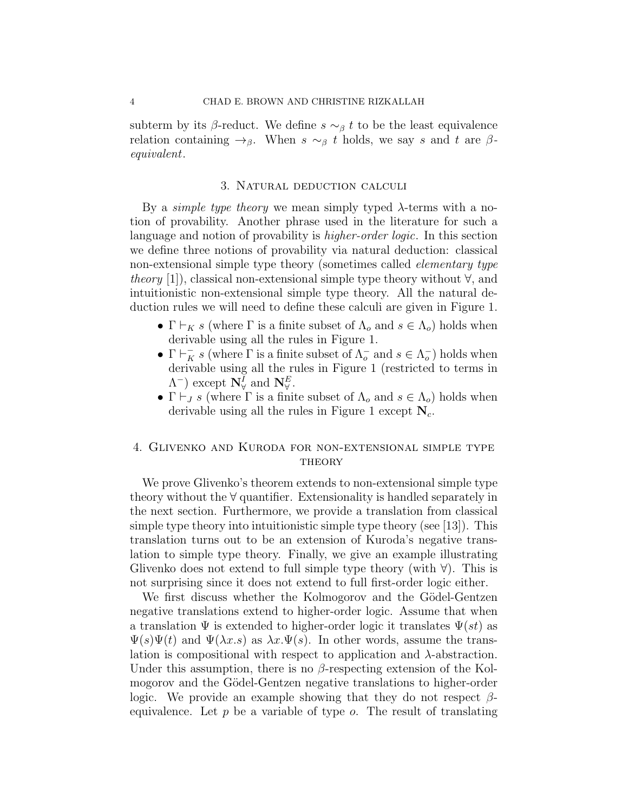subterm by its β-reduct. We define  $s \sim_\beta t$  to be the least equivalence relation containing  $\rightarrow_{\beta}$ . When  $s \sim_{\beta} t$  holds, we say s and t are  $\beta$ equivalent.

## 3. Natural deduction calculi

By a *simple type theory* we mean simply typed  $\lambda$ -terms with a notion of provability. Another phrase used in the literature for such a language and notion of provability is *higher-order logic*. In this section we define three notions of provability via natural deduction: classical non-extensional simple type theory (sometimes called *elementary type* theory [1]), classical non-extensional simple type theory without  $\forall$ , and intuitionistic non-extensional simple type theory. All the natural deduction rules we will need to define these calculi are given in Figure 1.

- $\Gamma \vdash_K s$  (where  $\Gamma$  is a finite subset of  $\Lambda_o$  and  $s \in \Lambda_o$ ) holds when derivable using all the rules in Figure 1.
- $\Gamma \vdash_K^- s$  (where  $\Gamma$  is a finite subset of  $\Lambda_o^-$  and  $s \in \Lambda_o^ \sigma$ ) holds when derivable using all the rules in Figure 1 (restricted to terms in  $\Lambda^{-}$ ) except  $\mathbf{N}_{\forall}^{\bar{I}}$  and  $\mathbf{N}_{\forall}^{\bar{E}}$ .
- $\Gamma \vdash_J s$  (where  $\Gamma$  is a finite subset of  $\Lambda_o$  and  $s \in \Lambda_o$ ) holds when derivable using all the rules in Figure 1 except  $N_c$ .

# 4. Glivenko and Kuroda for non-extensional simple type THEORY

We prove Glivenko's theorem extends to non-extensional simple type theory without the ∀ quantifier. Extensionality is handled separately in the next section. Furthermore, we provide a translation from classical simple type theory into intuitionistic simple type theory (see [13]). This translation turns out to be an extension of Kuroda's negative translation to simple type theory. Finally, we give an example illustrating Glivenko does not extend to full simple type theory (with  $\forall$ ). This is not surprising since it does not extend to full first-order logic either.

We first discuss whether the Kolmogorov and the Gödel-Gentzen negative translations extend to higher-order logic. Assume that when a translation  $\Psi$  is extended to higher-order logic it translates  $\Psi(st)$  as  $\Psi(s)\Psi(t)$  and  $\Psi(\lambda x.s)$  as  $\lambda x.\Psi(s)$ . In other words, assume the translation is compositional with respect to application and  $\lambda$ -abstraction. Under this assumption, there is no  $\beta$ -respecting extension of the Kolmogorov and the Gödel-Gentzen negative translations to higher-order logic. We provide an example showing that they do not respect  $\beta$ equivalence. Let  $p$  be a variable of type  $o$ . The result of translating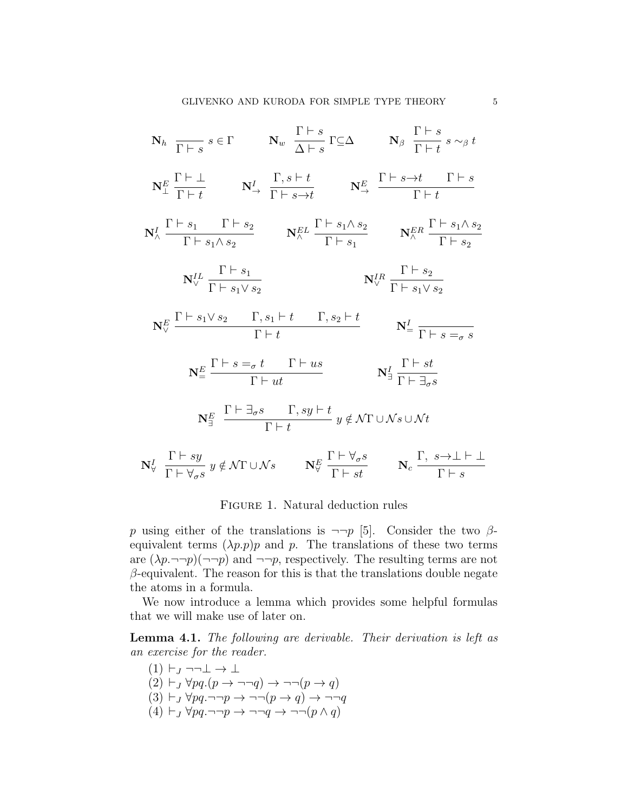$$
\mathbf{N}_{h} \quad \frac{\Gamma \vdash s}{\Gamma \vdash s} s \in \Gamma \qquad \mathbf{N}_{w} \quad \frac{\Gamma \vdash s}{\Delta \vdash s} \Gamma \subseteq \Delta \qquad \mathbf{N}_{\beta} \quad \frac{\Gamma \vdash s}{\Gamma \vdash t} s \sim_{\beta} t
$$
\n
$$
\mathbf{N}_{\bot}^{E} \quad \frac{\Gamma \vdash \bot}{\Gamma \vdash t} \qquad \mathbf{N}_{\bot}^{I} \quad \frac{\Gamma, s \vdash t}{\Gamma \vdash s \rightarrow t} \qquad \mathbf{N}_{\bot}^{E} \quad \frac{\Gamma \vdash s \rightarrow t}{\Gamma \vdash t} \qquad \Gamma \vdash s
$$
\n
$$
\mathbf{N}_{\wedge}^{I} \quad \frac{\Gamma \vdash s_{1}}{\Gamma \vdash s_{1} \wedge s_{2}} \qquad \mathbf{N}_{\wedge}^{E L} \quad \frac{\Gamma \vdash s_{1} \wedge s_{2}}{\Gamma \vdash s_{1}} \qquad \mathbf{N}_{\wedge}^{E R} \quad \frac{\Gamma \vdash s_{1} \wedge s_{2}}{\Gamma \vdash s_{2}}
$$
\n
$$
\mathbf{N}_{\vee}^{U} \quad \frac{\Gamma \vdash s_{1}}{\Gamma \vdash s_{1} \vee s_{2}} \qquad \mathbf{N}_{\vee}^{I R} \quad \frac{\Gamma \vdash s_{2}}{\Gamma \vdash s_{1} \vee s_{2}}
$$
\n
$$
\mathbf{N}_{\vee}^{E} \quad \frac{\Gamma \vdash s_{1} \vee s_{2}}{\Gamma \vdash t} \qquad \mathbf{N}_{\exists}^{I} \quad \frac{\Gamma \vdash s_{2}}{\Gamma \vdash s \rightarrow s}
$$
\n
$$
\mathbf{N}_{\exists}^{E} \quad \frac{\Gamma \vdash s = \sigma t}{\Gamma \vdash ut} \qquad \mathbf{N}_{\exists}^{I} \quad \frac{\Gamma \vdash st}{\Gamma \vdash \exists_{\sigma} s}
$$
\n
$$
\mathbf{N}_{\exists}^{E} \quad \frac{\Gamma \vdash s_{2}}{\Gamma \vdash t} y \notin \mathcal{N} \Gamma \cup \mathcal{N} s \cup \mathcal{N} t
$$
\n
$$
\mathbf{N}_{\forall}^{I} \quad \frac{\Gamma \vdash s_{y}}{\Gamma \vdash \forall_{\sigma} s} y \notin \mathcal{N} \Gamma
$$

# Figure 1. Natural deduction rules

p using either of the translations is  $\neg\neg p$  [5]. Consider the two  $\beta$ equivalent terms  $(\lambda p.p)p$  and p. The translations of these two terms are  $(\lambda p \rightarrow p)(\neg\neg p)$  and  $\neg\neg p$ , respectively. The resulting terms are not  $\beta$ -equivalent. The reason for this is that the translations double negate the atoms in a formula.

We now introduce a lemma which provides some helpful formulas that we will make use of later on.

Lemma 4.1. The following are derivable. Their derivation is left as an exercise for the reader.

 $(1) \vdash_J \neg\neg\bot \rightarrow \bot$  $(2) \vdash_J \forall pq.(p \rightarrow \neg \neg q) \rightarrow \neg \neg (p \rightarrow q)$  $(3) \vdash_J \forall pq. \neg\neg p \rightarrow \neg\neg (p \rightarrow q) \rightarrow \neg\neg q$  $(4) \vdash_J \forall pq. \neg\neg p \rightarrow \neg\neg q \rightarrow \neg\neg(p \land q)$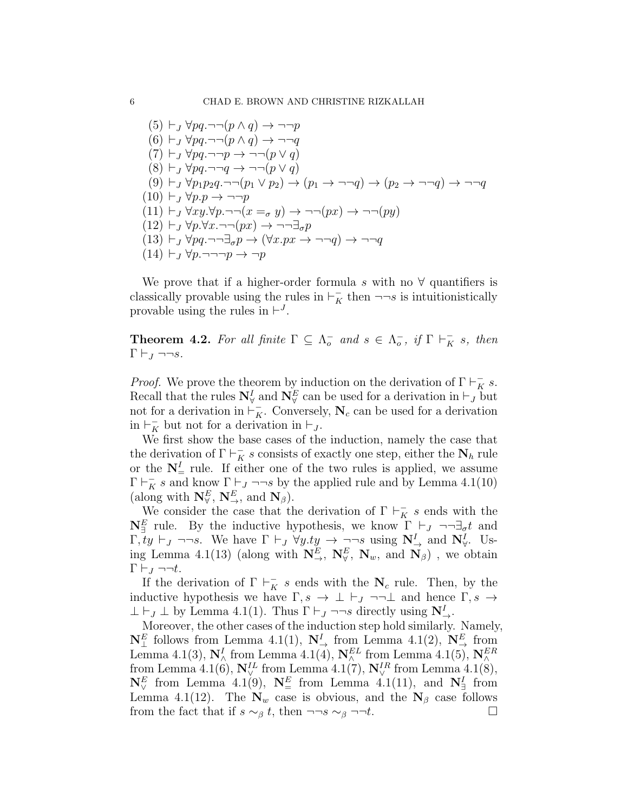(5)  $\vdash_J \forall pq. \neg \neg (p \land q) \rightarrow \neg \neg p$  $(6) \vdash_J \forall pq. \neg\neg(p \land q) \rightarrow \neg\neg q$  $(7) \vdash_J \forall pq. \neg \neg p \rightarrow \neg \neg (p \lor q)$  $(8) \vdash_J \forall pq. \neg\neg q \rightarrow \neg\neg(p \lor q)$  $(9) \vdash_J \forall p_1p_2q \neg\neg(p_1 \lor p_2) \rightarrow (p_1 \rightarrow \neg\neg q) \rightarrow (p_2 \rightarrow \neg\neg q) \rightarrow \neg\neg q$  $(10)$   $\vdash$ <sub>J</sub>  $\forall p.p \rightarrow \neg \neg p$  $(11) \vdash_J \forall xy. \forall p. \neg \neg(x =_\sigma y) \rightarrow \neg \neg(px) \rightarrow \neg \neg(py)$  $(12) \vdash_J \forall p.\forall x. \neg \neg (px) \rightarrow \neg \neg \exists_{\sigma} p$  $(13) \vdash_J \forall pq \neg \neg \exists_{\sigma} p \rightarrow (\forall x . px \rightarrow \neg \neg q) \rightarrow \neg \neg q$  $(14) \vdash_J \forall p. \neg \neg \neg p \rightarrow \neg p$ 

We prove that if a higher-order formula s with no  $\forall$  quantifiers is classically provable using the rules in  $\vdash_K^-$  then  $\neg\neg s$  is intuitionistically provable using the rules in  $\vdash^{J}$ .

**Theorem 4.2.** For all finite  $\Gamma \subseteq \Lambda_o^-$  and  $s \in \Lambda_o^ \overline{c}$ , if  $\Gamma \vdash_K^- s$ , then  $\Gamma\vdash_J \neg\neg s.$ 

*Proof.* We prove the theorem by induction on the derivation of  $\Gamma \vdash_K^- s$ . Recall that the rules  $N_{\forall}^I$  and  $N_{\forall}^E$  can be used for a derivation in  $\vdash_J$  but not for a derivation in  $\vdash_K^-$ . Conversely,  $\mathbf{N}_c$  can be used for a derivation in  $\vdash_K^-$  but not for a derivation in  $\vdash_J$ .

We first show the base cases of the induction, namely the case that the derivation of  $\Gamma \vdash_K^- s$  consists of exactly one step, either the  $\mathbf{N}_h$  rule or the  $N^I$  rule. If either one of the two rules is applied, we assume  $\Gamma\vdash_{K}^{-} s$  and know  $\Gamma\vdash_{J}\neg\neg s$  by the applied rule and by Lemma 4.1(10) (along with  $N_{\forall}^{E}$ ,  $N_{\rightarrow}^{E}$ , and  $N_{\beta}$ ).

We consider the case that the derivation of  $\Gamma\vdash_K^- s$  ends with the  $\mathbf{N}_{\exists}^{E}$  rule. By the inductive hypothesis, we know  $\Gamma \vdash_{J} \neg \neg \exists_{\sigma} t$  and  $\Gamma, ty \vdash_J \neg\neg s$ . We have  $\Gamma \vdash_J \forall y.ty \rightarrow \neg\neg s$  using  $N^I_{\rightarrow}$  and  $N^I_{\forall}$ . Using Lemma 4.1(13) (along with  $N_{\rightarrow}^E$ ,  $N_{\forall}^E$ ,  $N_w$ , and  $N_{\beta}$ ), we obtain  $\Gamma\vdash_J\neg\neg t$ .

If the derivation of  $\Gamma \vdash_K^- s$  ends with the  $\mathbf{N}_c$  rule. Then, by the inductive hypothesis we have  $\Gamma, s \to \bot \vdash_J \neg \neg \bot$  and hence  $\Gamma, s \to \bot$  $\perp \vdash_J \perp$  by Lemma 4.1(1). Thus  $\Gamma \vdash_J \neg \neg s$  directly using  $N^I_{\rightarrow}$ .

Moreover, the other cases of the induction step hold similarly. Namely,  $\mathbf{N}_{\perp}^{E}$  follows from Lemma 4.1(1),  $\mathbf{N}_{\rightarrow}^{I}$  from Lemma 4.1(2),  $\mathbf{N}_{\rightarrow}^{E}$  from Lemma 4.1(3),  $N_{\wedge}^{I}$  from Lemma 4.1(4),  $N_{\wedge}^{EL}$  from Lemma 4.1(5),  $N_{\wedge}^{ER}$ from Lemma 4.1(6),  $N_{\vee}^{IL}$  from Lemma 4.1(7),  $N_{\vee}^{IR}$  from Lemma 4.1(8),  $\mathbf{N}_{\vee}^E$  from Lemma 4.1(9),  $\mathbf{N}_{\equiv}^E$  from Lemma 4.1(11), and  $\mathbf{N}_{\exists}^I$  from Lemma 4.1(12). The  $N_w$  case is obvious, and the  $N_\beta$  case follows from the fact that if  $s \sim_\beta t$ , then  $\neg\neg s \sim_\beta \neg\neg t$ .  $\Box$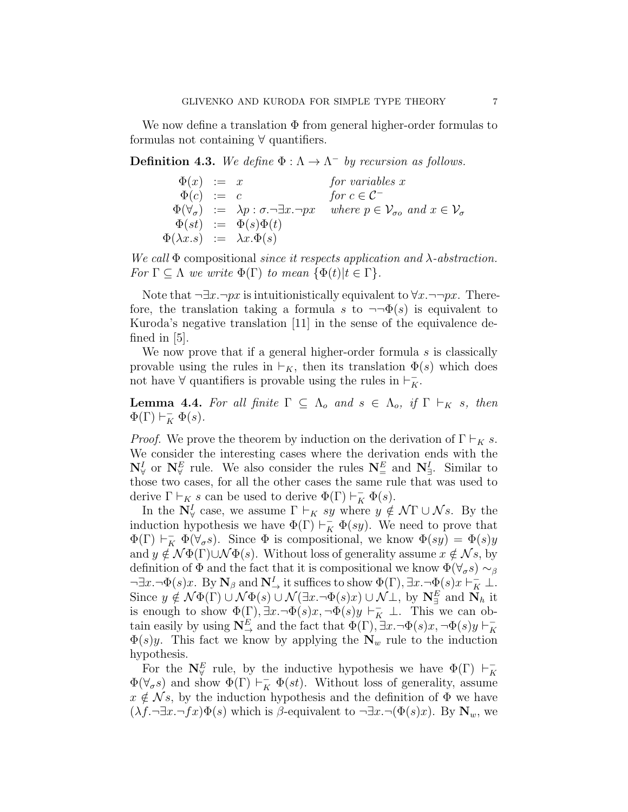We now define a translation  $\Phi$  from general higher-order formulas to formulas not containing ∀ quantifiers.

**Definition 4.3.** We define  $\Phi : \Lambda \to \Lambda^-$  by recursion as follows.

| $\Phi(x) := x$ |                                                                              | for variables $x$                                 |
|----------------|------------------------------------------------------------------------------|---------------------------------------------------|
| $\Phi(c) := c$ |                                                                              | for $c \in \mathcal{C}^-$                         |
|                | $\Phi(\forall_{\sigma}) \; := \; \lambda p : \sigma \neg \exists x. \neg px$ | where $p \in V_{\sigma o}$ and $x \in V_{\sigma}$ |
|                | $\Phi(st) := \Phi(s)\Phi(t)$                                                 |                                                   |
|                | $\Phi(\lambda x.s) := \lambda x.\Phi(s)$                                     |                                                   |

We call  $\Phi$  compositional since it respects application and  $\lambda$ -abstraction. For  $\Gamma \subseteq \Lambda$  we write  $\Phi(\Gamma)$  to mean  $\{\Phi(t)|t \in \Gamma\}.$ 

Note that  $\neg \exists x.\neg px$  is intuitionistically equivalent to  $\forall x.\neg \neg px$ . Therefore, the translation taking a formula s to  $\neg\neg \Phi(s)$  is equivalent to Kuroda's negative translation [11] in the sense of the equivalence defined in [5].

We now prove that if a general higher-order formula s is classically provable using the rules in  $\vdash_K$ , then its translation  $\Phi(s)$  which does not have  $\forall$  quantifiers is provable using the rules in  $\vdash_{K}^{-}$ .

**Lemma 4.4.** For all finite  $\Gamma \subseteq \Lambda_o$  and  $s \in \Lambda_o$ , if  $\Gamma \vdash_K s$ , then  $\Phi(\Gamma) \vdash_K^- \Phi(s)$ .

*Proof.* We prove the theorem by induction on the derivation of  $\Gamma \vdash_K s$ . We consider the interesting cases where the derivation ends with the  $N_{\forall}^I$  or  $N_{\forall}^E$  rule. We also consider the rules  $N_{\equiv}^E$  and  $N_{\exists}^I$ . Similar to those two cases, for all the other cases the same rule that was used to derive  $\Gamma \vdash_{K} s$  can be used to derive  $\Phi(\Gamma) \vdash_K^- \Phi(s)$ .

In the  $N_{\forall}^{I}$  case, we assume  $\Gamma \vdash_{K} sy$  where  $y \notin \mathcal{N}\Gamma \cup \mathcal{N}s$ . By the induction hypothesis we have  $\Phi(\Gamma) \vdash_K^- \Phi(sy)$ . We need to prove that  $\Phi(\Gamma) \vdash_K^- \Phi(\forall_\sigma s)$ . Since  $\Phi$  is compositional, we know  $\Phi(sy) = \Phi(s)y$ and  $y \notin \mathcal{N}\Phi(\Gamma) \cup \mathcal{N}\Phi(s)$ . Without loss of generality assume  $x \notin \mathcal{N}s$ , by definition of  $\Phi$  and the fact that it is compositional we know  $\Phi(\forall_{\sigma}s) \sim_{\beta}$  $\neg \exists x. \neg \Phi(s)x.$  By  $\mathbf{N}_{\beta}$  and  $\mathbf{N}_{\rightarrow}^{I}$  it suffices to show  $\Phi(\Gamma), \exists x. \neg \Phi(s)x \vdash_{K}^{-} \bot$ . Since  $y \notin \mathcal{N}\Phi(\Gamma) \cup \mathcal{N}\Phi(s) \cup \mathcal{N}(\exists x. \neg \Phi(s)x) \cup \mathcal{N}\bot$ , by  $\mathbf{N}_{\exists}^E$  and  $\mathbf{N}_h$  it is enough to show  $\Phi(\Gamma), \exists x. \neg \Phi(s)x, \neg \Phi(s)y \vdash_K^{\mathcal{L}} \bot$ . This we can obtain easily by using  $\mathbb{N}_{\to}^E$  and the fact that  $\Phi(\Gamma), \exists x. \neg \Phi(s)x, \neg \Phi(s)y \vdash_K^{-1}$ between the rate of the  $\mathbb{N}_w$  rule to the induction  $\Phi(s)y$ . This fact we know by applying the  $\mathbb{N}_w$  rule to the induction hypothesis.

For the  $N_{\forall}^{E}$  rule, by the inductive hypothesis we have  $\Phi(\Gamma) \vdash_{K}^{-}$ K  $\Phi(\forall_{\sigma} s)$  and show  $\Phi(\Gamma) \vdash_K^- \Phi(st)$ . Without loss of generality, assume  $x \notin \mathcal{N}s$ , by the induction hypothesis and the definition of  $\Phi$  we have  $(\lambda f. \neg \exists x. \neg fx) \Phi(s)$  which is  $\beta$ -equivalent to  $\neg \exists x. \neg (\Phi(s)x)$ . By  $\mathbf{N}_w$ , we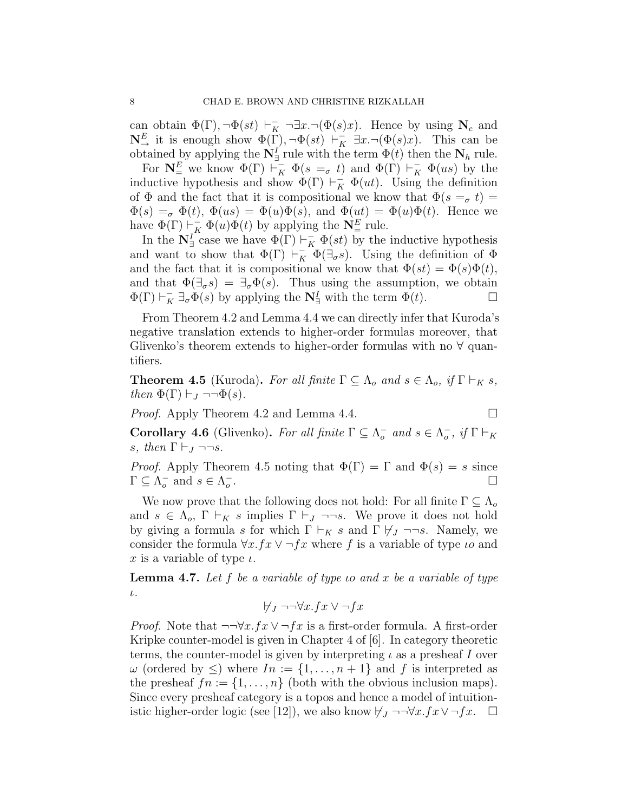can obtain  $\Phi(\Gamma)$ ,  $\neg \Phi(st) \vdash_K^- \neg \exists x \neg (\Phi(s)x)$ . Hence by using  $N_c$  and  $\mathbf{N}_{\rightarrow}^{E}$  it is enough show  $\Phi(\Gamma), \neg \Phi(st) \vdash_{K}^{-} \exists x. \neg (\Phi(s)x)$ . This can be obtained by applying the  $\mathbf{N}_{\exists}^{I}$  rule with the term  $\Phi(t)$  then the  $\mathbf{N}_{h}$  rule.

For  $N_{\equiv}^E$  we know  $\Phi(\Gamma) \vdash_K^- \Phi(s =_\sigma t)$  and  $\Phi(\Gamma) \vdash_K^- \Phi(us)$  by the inductive hypothesis and show  $\phi(\Gamma) \vdash_K^- \Phi(ut)$ . Using the definition of  $\Phi$  and the fact that it is compositional we know that  $\Phi(s = \sigma t)$  $\Phi(s) =_{\sigma} \Phi(t)$ ,  $\Phi(us) = \Phi(u)\Phi(s)$ , and  $\Phi(ut) = \Phi(u)\Phi(t)$ . Hence we have  $\Phi(\Gamma) \vdash_K^- \Phi(u)\Phi(t)$  by applying the  $N^E_{\equiv}$  rule.

In the  $N^{\Gamma}_{\exists}$  case we have  $\Phi(\Gamma) \vdash_{K}^{-} \Phi(st)$  by the inductive hypothesis and want to show that  $\Phi(\Gamma) \vdash_K \Phi(\exists_\sigma s)$ . Using the definition of  $\Phi$ and the fact that it is compositional we know that  $\Phi(st) = \Phi(s)\Phi(t)$ , and that  $\Phi(\exists_{\sigma} s) = \exists_{\sigma} \Phi(s)$ . Thus using the assumption, we obtain  $\Phi(\Gamma) \vdash_K \exists_\sigma \Phi(s)$  by applying the  $\mathbf{N}^I_{\exists}$  with the term  $\Phi(t)$ .

From Theorem 4.2 and Lemma 4.4 we can directly infer that Kuroda's negative translation extends to higher-order formulas moreover, that Glivenko's theorem extends to higher-order formulas with no  $\forall$  quantifiers.

**Theorem 4.5** (Kuroda). For all finite  $\Gamma \subseteq \Lambda_o$  and  $s \in \Lambda_o$ , if  $\Gamma \vdash_K s$ , then  $\Phi(\Gamma) \vdash_J \neg \neg \Phi(s)$ .

Proof. Apply Theorem 4.2 and Lemma 4.4.

$$
\Box
$$

**Corollary 4.6** (Glivenko). For all finite  $\Gamma \subseteq \Lambda_o^-$  and  $s \in \Lambda_o^ \overline{c}$ , if  $\Gamma \vdash_K$ s, then  $\Gamma \vdash_J \neg \neg s$ .

*Proof.* Apply Theorem 4.5 noting that  $\Phi(\Gamma) = \Gamma$  and  $\Phi(s) = s$  since  $\Gamma \subseteq \Lambda_o^ \overline{o}$  and  $s \in \Lambda_{o}^{-}$ o .

We now prove that the following does not hold: For all finite  $\Gamma \subseteq \Lambda_o$ and  $s \in \Lambda_o$ ,  $\Gamma \vdash_K s$  implies  $\Gamma \vdash_J \neg \neg s$ . We prove it does not hold by giving a formula s for which  $\Gamma \vdash_K s$  and  $\Gamma \not\vdash_J \neg\neg s$ . Namely, we consider the formula  $\forall x.fx \vee \neg fx$  where f is a variable of type  $\iota o$  and x is a variable of type  $\iota$ .

**Lemma 4.7.** Let f be a variable of type is and x be a variable of type ι.

$$
\nvdash_J \neg\neg\forall x.fx \lor \neg fx
$$

*Proof.* Note that  $\neg\neg\forall x.fx \lor \neg fx$  is a first-order formula. A first-order Kripke counter-model is given in Chapter 4 of [6]. In category theoretic terms, the counter-model is given by interpreting  $\iota$  as a presheaf I over  $\omega$  (ordered by  $\leq$ ) where  $In := \{1, \ldots, n+1\}$  and f is interpreted as the presheaf  $fn := \{1, \ldots, n\}$  (both with the obvious inclusion maps). Since every presheaf category is a topos and hence a model of intuitionistic higher-order logic (see [12]), we also know  $\nvdash_J \neg\neg \forall x.fx \lor \neg fx$ .  $\Box$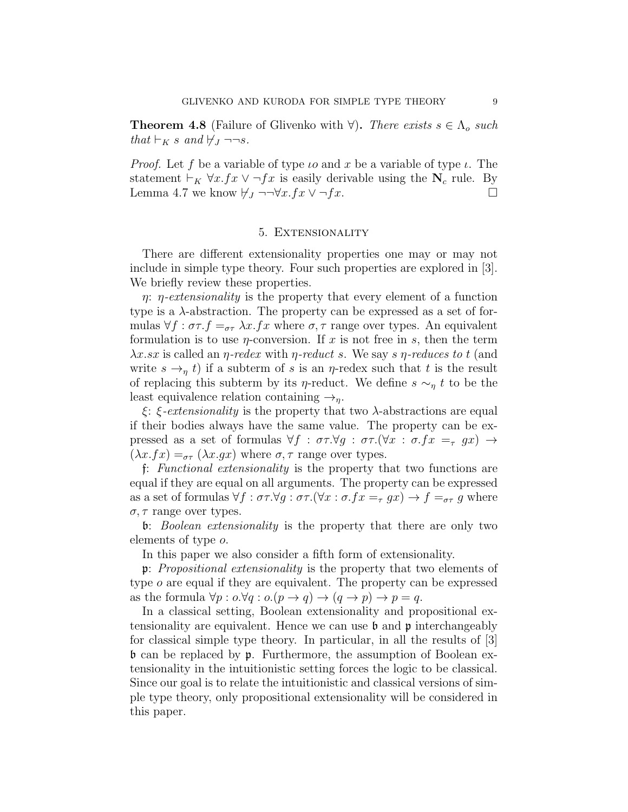**Theorem 4.8** (Failure of Glivenko with  $\forall$ ). There exists  $s \in \Lambda_o$  such that  $\vdash_K s$  and  $\nvdash_J \neg\neg s$ .

*Proof.* Let f be a variable of type  $\iota$  and  $x$  be a variable of type  $\iota$ . The statement  $\vdash_K \forall x.fx \vee \neg fx$  is easily derivable using the  $\mathbf{N}_c$  rule. By Lemma 4.7 we know  $\nvdash_J \neg\neg\forall x.fx \lor \neg fx$ .

## 5. Extensionality

There are different extensionality properties one may or may not include in simple type theory. Four such properties are explored in [3]. We briefly review these properties.

 $\eta$ :  $\eta$ -extensionality is the property that every element of a function type is a  $\lambda$ -abstraction. The property can be expressed as a set of formulas  $\forall f : \sigma \tau . f =_{\sigma \tau} \lambda x . fx$  where  $\sigma, \tau$  range over types. An equivalent formulation is to use  $\eta$ -conversion. If x is not free in s, then the term  $\lambda x$ .sx is called an *η-redex* with *η-reduct s*. We say s *η-reduces to t* (and write  $s \rightarrow_{\eta} t$  if a subterm of s is an  $\eta$ -redex such that t is the result of replacing this subterm by its *η*-reduct. We define  $s \sim_\eta t$  to be the least equivalence relation containing  $\rightarrow_{\eta}$ .

 $\xi$ :  $\xi$ -extensionality is the property that two  $\lambda$ -abstractions are equal if their bodies always have the same value. The property can be expressed as a set of formulas  $\forall f : \sigma \tau . \forall g : \sigma \tau . (\forall x : \sigma . f x =_\tau g x) \rightarrow$  $(\lambda x.fx) =_{\sigma\tau} (\lambda x.gx)$  where  $\sigma, \tau$  range over types.

f: Functional extensionality is the property that two functions are equal if they are equal on all arguments. The property can be expressed as a set of formulas  $\forall f : \sigma \tau. \forall g : \sigma \tau. (\forall x : \sigma.fx =_{\tau} gx) \rightarrow f =_{\sigma \tau} g$  where  $\sigma$ ,  $\tau$  range over types.

b: Boolean extensionality is the property that there are only two elements of type o.

In this paper we also consider a fifth form of extensionality.

p: Propositional extensionality is the property that two elements of type o are equal if they are equivalent. The property can be expressed as the formula  $\forall p : o.\forall q : o.(p \rightarrow q) \rightarrow (q \rightarrow p) \rightarrow p = q$ .

In a classical setting, Boolean extensionality and propositional extensionality are equivalent. Hence we can use  $\mathfrak b$  and  $\mathfrak p$  interchangeably for classical simple type theory. In particular, in all the results of [3] b can be replaced by p. Furthermore, the assumption of Boolean extensionality in the intuitionistic setting forces the logic to be classical. Since our goal is to relate the intuitionistic and classical versions of simple type theory, only propositional extensionality will be considered in this paper.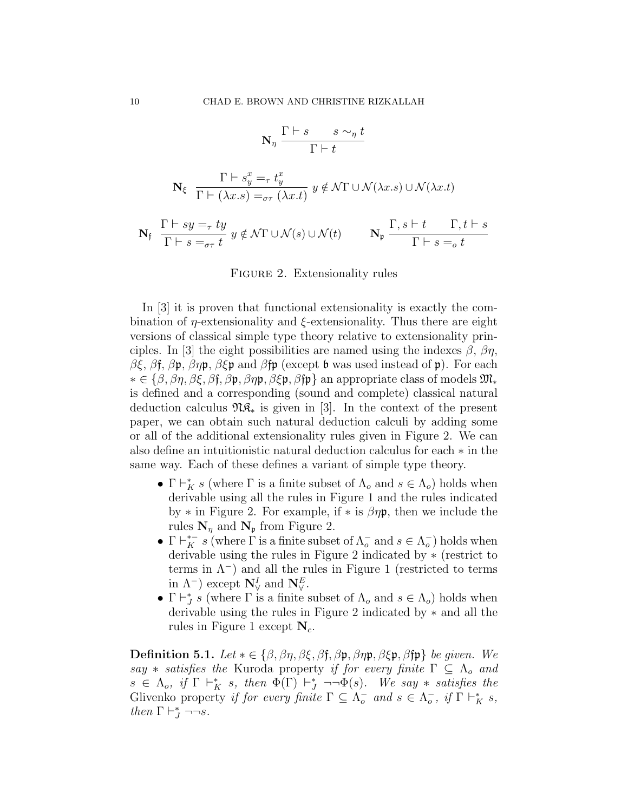$$
\mathbf{N}_{\eta} \frac{\Gamma \vdash s \qquad s \sim_{\eta} t}{\Gamma \vdash t}
$$
\n
$$
\mathbf{N}_{\xi} \frac{\Gamma \vdash s_{y}^{x} =_{\tau} t_{y}^{x}}{\Gamma \vdash (\lambda x . s) =_{\sigma\tau} (\lambda x . t)} y \notin \mathcal{N}\Gamma \cup \mathcal{N}(\lambda x . s) \cup \mathcal{N}(\lambda x . t)
$$
\n
$$
\mathbf{N}_{\mathfrak{f}} \frac{\Gamma \vdash sy =_{\tau} ty}{\Gamma \vdash s =_{\sigma\tau} t} y \notin \mathcal{N}\Gamma \cup \mathcal{N}(s) \cup \mathcal{N}(t) \qquad \mathbf{N}_{\mathfrak{p}} \frac{\Gamma, s \vdash t \qquad \Gamma, t \vdash s}{\Gamma \vdash s =_{\sigma} t}
$$

#### FIGURE 2. Extensionality rules

In [3] it is proven that functional extensionality is exactly the combination of  $\eta$ -extensionality and  $\xi$ -extensionality. Thus there are eight versions of classical simple type theory relative to extensionality principles. In [3] the eight possibilities are named using the indexes  $\beta$ ,  $\beta\eta$ , βξ, βf, βp,  $βη$ p,  $βξ$ p and  $β$ fp (except b was used instead of p). For each  $\ast \in {\beta, \beta\eta, \beta\xi, \beta\mathfrak{f}, \beta\mathfrak{p}, \beta\eta\mathfrak{p}, \beta\xi\mathfrak{p}, \beta\mathfrak{f}\mathfrak{p}}$  an appropriate class of models  $\mathfrak{M}_*$ is defined and a corresponding (sound and complete) classical natural deduction calculus  $\mathfrak{NR}_{*}$  is given in [3]. In the context of the present paper, we can obtain such natural deduction calculi by adding some or all of the additional extensionality rules given in Figure 2. We can also define an intuitionistic natural deduction calculus for each ∗ in the same way. Each of these defines a variant of simple type theory.

- $\Gamma \vdash_K^* s$  (where  $\Gamma$  is a finite subset of  $\Lambda_o$  and  $s \in \Lambda_o$ ) holds when derivable using all the rules in Figure 1 and the rules indicated by  $*$  in Figure 2. For example, if  $*$  is  $\beta \eta \mathfrak{p}$ , then we include the rules  $N_{\eta}$  and  $N_{\nu}$  from Figure 2.
- $\Gamma \vdash_K^{*-} s$  (where  $\Gamma$  is a finite subset of  $\Lambda_o^-$  and  $s \in \Lambda_o^ \sigma$ ) holds when derivable using the rules in Figure 2 indicated by ∗ (restrict to terms in  $\Lambda^-$ ) and all the rules in Figure 1 (restricted to terms in  $\Lambda^-$ ) except  $\mathbf{N}_{\forall}^I$  and  $\mathbf{N}_{\forall}^E$ .
- $\bullet$   $\Gamma \vdash^*_J$  $j s$  (where  $\Gamma$  is a finite subset of  $\Lambda_o$  and  $s \in \Lambda_o$ ) holds when derivable using the rules in Figure 2 indicated by ∗ and all the rules in Figure 1 except  $N_c$ .

**Definition 5.1.** Let  $* \in {\beta, \beta\eta, \beta\xi, \beta\mathfrak{f}, \beta\mathfrak{p}, \beta\eta\mathfrak{p}, \beta\xi\mathfrak{p}, \beta\mathfrak{f}\mathfrak{p}}$  be given. We say  $*$  satisfies the Kuroda property if for every finite  $\Gamma \subseteq \Lambda_o$  and  $s \in \Lambda_o$ , if  $\Gamma \vdash_K^* s$ , then  $\Phi(\Gamma) \vdash_J^* \neg \neg \Phi(s)$ . We say  $*$  satisfies the Glivenko property if for every finite  $\Gamma \subseteq \Lambda_o^-$  and  $s \in \Lambda_o^ \bar{o}$ , if  $\Gamma \vdash_K^* s$ , then  $\Gamma \vdash_J^* \neg \neg s$ .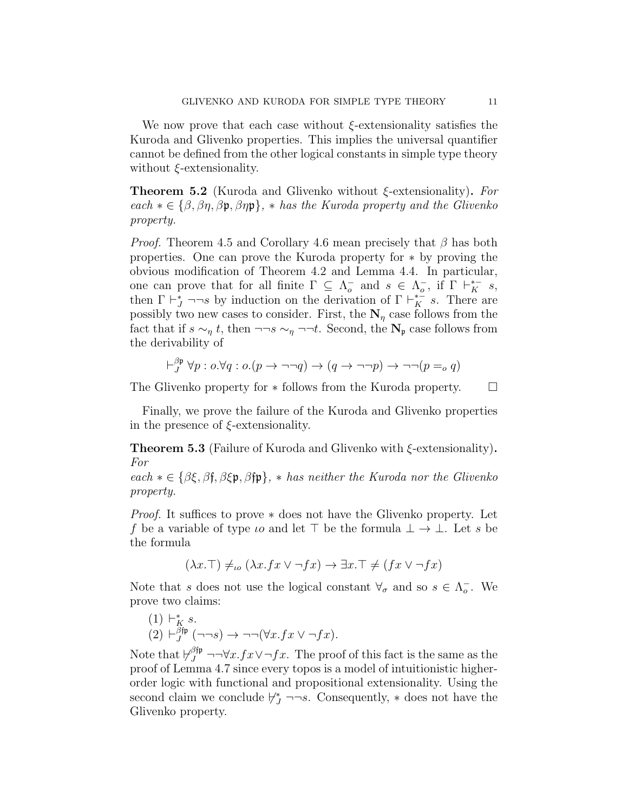We now prove that each case without  $\xi$ -extensionality satisfies the Kuroda and Glivenko properties. This implies the universal quantifier cannot be defined from the other logical constants in simple type theory without  $\xi$ -extensionality.

**Theorem 5.2** (Kuroda and Glivenko without  $\xi$ -extensionality). For each  $* \in {\beta, \beta\eta, \beta\mathfrak{p}, \beta\eta\mathfrak{p}}$ ,  $*$  has the Kuroda property and the Glivenko property.

*Proof.* Theorem 4.5 and Corollary 4.6 mean precisely that  $\beta$  has both properties. One can prove the Kuroda property for ∗ by proving the obvious modification of Theorem 4.2 and Lemma 4.4. In particular, one can prove that for all finite  $\Gamma \subseteq \Lambda_{\rho}^{-1}$  $\overline{0}$  and  $s \in \Lambda_0^ \overline{o}$ , if Γ  $\vdash_K^{*-} s$ , then  $\Gamma \vdash_J^* \neg \neg s$  by induction on the derivation of  $\Gamma \vdash_K^{* \sim s} s$ . There are possibly two new cases to consider. First, the  $N_{\eta}$  case follows from the fact that if  $s \sim_\eta t$ , then  $\neg\neg s \sim_\eta \neg\neg t$ . Second, the  $N_p$  case follows from the derivability of

$$
\vdash_{J}^{\beta p} \forall p : o. \forall q : o.(p \rightarrow \neg \neg q) \rightarrow (q \rightarrow \neg \neg p) \rightarrow \neg \neg (p =_o q)
$$

The Glivenko property for  $\ast$  follows from the Kuroda property. □

Finally, we prove the failure of the Kuroda and Glivenko properties in the presence of  $\xi$ -extensionality.

**Theorem 5.3** (Failure of Kuroda and Glivenko with  $\xi$ -extensionality). For

each  $* \in {\beta \xi, \beta \xi, \beta \xi \mathfrak{p}, \beta \xi \mathfrak{p}}, *$  has neither the Kuroda nor the Glivenko property.

Proof. It suffices to prove ∗ does not have the Glivenko property. Let f be a variable of type  $\iota \circ \iota$  and let  $\top$  be the formula  $\bot \to \bot$ . Let s be the formula

$$
(\lambda x. \top) \neq_{\iota o} (\lambda x.fx \lor \neg fx) \rightarrow \exists x. \top \neq (fx \lor \neg fx)
$$

Note that s does not use the logical constant  $\forall_{\sigma}$  and so  $s \in \Lambda_{\sigma}^{-1}$  $_{o}^{-}$ . We prove two claims:

$$
\begin{array}{l} (1) \vdash^*_K s. \\ (2) \vdash^{\beta \sharp \mathfrak{p}}_J (\neg \neg s) \rightarrow \neg \neg (\forall x . fx \vee \neg fx). \end{array}
$$

Note that  $\not\vdash_{J}^{\beta \nmid p} \neg \neg \forall x . f x \lor \neg fx$ . The proof of this fact is the same as the proof of Lemma 4.7 since every topos is a model of intuitionistic higherorder logic with functional and propositional extensionality. Using the second claim we conclude  $\nvdash_j^* \neg \neg s$ . Consequently,  $*$  does not have the Glivenko property.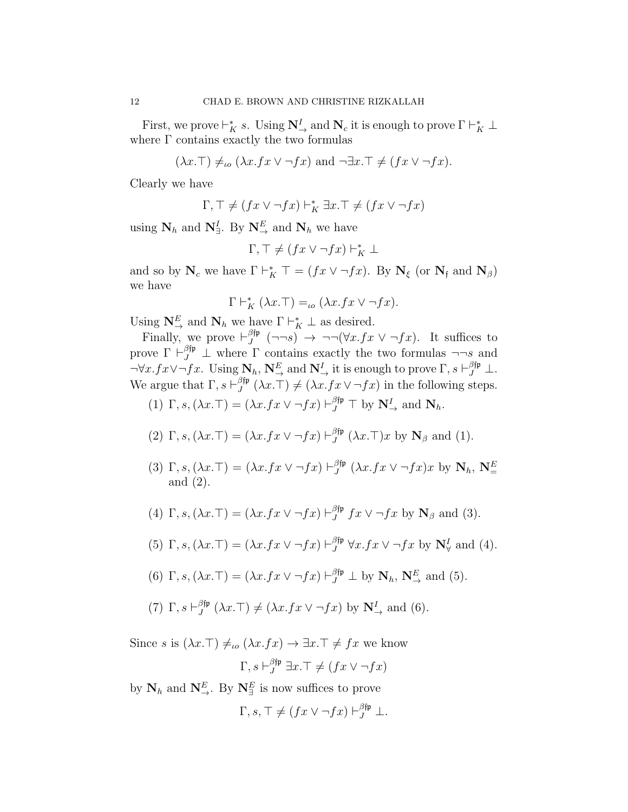First, we prove  $\vdash_K^* s$ . Using  $N^I$ <sub>→</sub> and  $N_c$  it is enough to prove  $\Gamma \vdash_K^* \bot$ where  $\Gamma$  contains exactly the two formulas

$$
(\lambda x.\top)
$$
  $\neq_{\iota o} (\lambda x.fx \vee \neg fx)$  and  $\neg \exists x.\top \neq (fx \vee \neg fx)$ .

Clearly we have

$$
\Gamma,\top\neq(fx\vee\neg fx)\vdash^*_K\exists x.\top\neq(fx\vee\neg fx)
$$

using  $N_h$  and  $N_{\exists}^I$ . By  $N_{\rightarrow}^E$  and  $N_h$  we have

$$
\Gamma,\top \neq (fx \vee \neg fx) \vdash_K^* \bot
$$

and so by  $N_c$  we have  $\Gamma \vdash_K^* \top = (fx \lor \neg fx)$ . By  $N_\xi$  (or  $N_f$  and  $N_\beta$ ) we have

$$
\Gamma \vdash_K^* (\lambda x. \top) =_{\iota o} (\lambda x.fx \vee \neg fx).
$$

Using  $N_{\rightarrow}^E$  and  $N_h$  we have  $\Gamma \vdash_K^* \bot$  as desired.

Finally, we prove  $\vdash_{J}^{\beta\uparrow p}$  $J_J^{\text{opp}}(\neg\neg s) \rightarrow \neg\neg(\forall x.fx \lor \neg fx)$ . It suffices to prove  $\Gamma \vdash^{\beta \nmid p}_{J} \bot$  where  $\Gamma$  contains exactly the two formulas  $\neg \neg s$  and  $\neg \forall x . f x \lor \neg fx$ . Using  $N_h$ ,  $N^E_{\rightarrow}$  and  $N^I_{\rightarrow}$  it is enough to prove  $\Gamma$ ,  $s \vdash^{\beta \dagger p}_{J} \bot$ . We argue that  $\Gamma$ ,  $s \vdash^{\beta \nmid p}_{J}$  $J_J^{\text{app}}(\lambda x.\top) \neq (\lambda x.fx \vee \neg fx)$  in the following steps.

(1)  $\Gamma$ ,  $s$ ,  $(\lambda x.\top) = (\lambda x.fx \vee \neg fx) \vdash^{\beta \uparrow \mathfrak{p}}_{J} \top$  by  $N^I_{\rightarrow}$  and  $N_h$ .

(2) 
$$
\Gamma
$$
, s,  $(\lambda x.\top) = (\lambda x.fx \vee \neg fx) \vdash^{\beta \mathfrak{fp}}_{J} (\lambda x.\top)x$  by  $\mathbf{N}_{\beta}$  and (1).

(3)  $\Gamma, s, (\lambda x. \top) = (\lambda x.fx \vee \neg fx) \vdash^{\beta \nmid p}_{J}$  $J_J^{\beta \uparrow \mathfrak{p}}(\lambda x.fx \vee \neg fx)x$  by  $\mathbf{N}_h$ ,  $\mathbf{N}_{=}^E$ and (2).

(4) 
$$
\Gamma
$$
, s,  $(\lambda x.\top) = (\lambda x.fx \vee \neg fx) \vdash^{\beta \sharp \mathfrak{p}}_{J} fx \vee \neg fx$  by  $\mathbf{N}_{\beta}$  and (3).

(5) 
$$
\Gamma
$$
, s,  $(\lambda x.\top) = (\lambda x.fx \vee \neg fx) \vdash^{\beta \nmid p}_{J} \forall x.fx \vee \neg fx \text{ by } \mathbb{N}_{\forall}^{I}$  and (4).

(6) 
$$
\Gamma
$$
, s,  $(\lambda x.\top) = (\lambda x.fx \vee \neg fx) \vdash_{J}^{\beta \mathfrak{f} \mathfrak{p}} \bot$  by  $\mathbf{N}_h$ ,  $\mathbf{N}_{\rightarrow}^E$  and (5).

(7) 
$$
\Gamma
$$
,  $s \vdash^{\beta \uparrow \mathfrak{p}}_{J} (\lambda x. \top) \neq (\lambda x.fx \vee \neg fx)$  by  $\mathbb{N}_{\rightarrow}^{I}$  and (6).

Since s is  $(\lambda x.\top) \neq_{\iota o} (\lambda x.fx) \rightarrow \exists x.\top \neq fx$  we know

$$
\Gamma, s \vdash^{\beta \mathfrak{f}\mathfrak{p}}_{J} \exists x. \top \neq (fx \lor \neg fx)
$$

by  $N_h$  and  $N_{\rightarrow}^E$ . By  $N_{\exists}^E$  is now suffices to prove

$$
\Gamma, s, \top \neq (fx \vee \neg fx) \vdash^{\beta \nmid \mathfrak{p}}_{J} \bot.
$$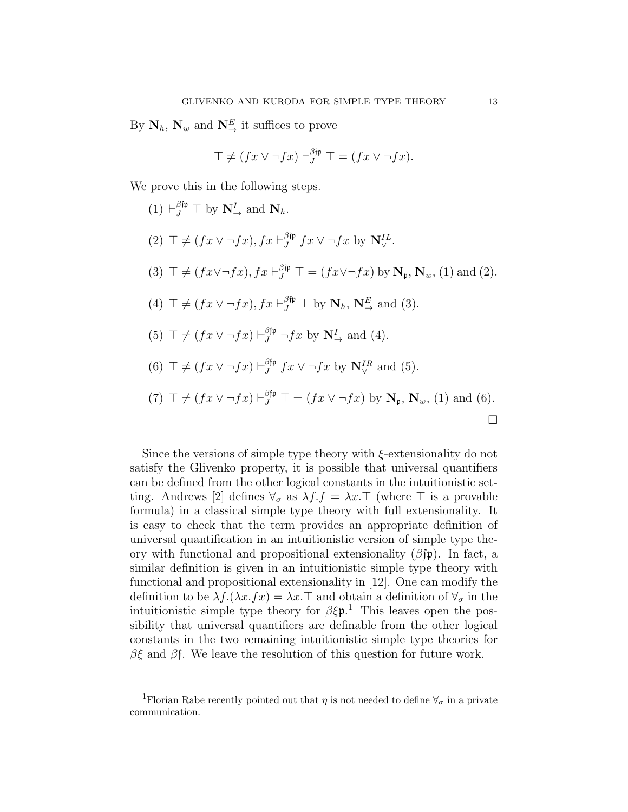By  $N_h$ ,  $N_w$  and  $N_{\rightarrow}^E$  it suffices to prove

$$
\top \neq (fx \vee \neg fx) \vdash^{\beta \mathfrak{f}\mathfrak{p}}_{J} \top = (fx \vee \neg fx).
$$

We prove this in the following steps.

(1)  $\vdash_{J}^{\beta \nmid p} \top$  by  $N_{\rightarrow}^{I}$  and  $N_{h}$ .  $(2)$  T  $\neq$   $(fx \vee \neg fx), fx \vdash^{\beta \nmid p}_{J}$  $J_f^{\beta \uparrow \mathfrak{p}} f x \vee \neg fx$  by  $\mathbf{N}_{\vee}^{IL}$ . (3)  $\top \neq (fx \vee \neg fx)$ ,  $fx \vdash_{J}^{\beta \nmid p} \top = (fx \vee \neg fx)$  by  $N_{p}$ ,  $N_{w}$ , (1) and (2). (4)  $\top \neq (fx \vee \neg fx), fx \vdash^{\beta \uparrow \mathfrak{p}}_{J} \bot$  by  $\mathbf{N}_h, \mathbf{N}^E_{\rightarrow}$  and (3). (5)  $\top \neq (fx \vee \neg fx) \vdash^{\beta \uparrow \mathfrak{p}}_{J} \neg fx$  by  $\mathbb{N}^{I}_{\rightarrow}$  and (4).  $(6)$  T  $\neq$   $(fx \vee \neg fx) \vdash^{\beta \nmid p}_{J}$  $J_J^{\beta \mathfrak{f}\mathfrak{p}} f x \vee \neg fx$  by  $\mathbf{N}_{\vee}^{IR}$  and (5).  $(7)$   $\top \neq (fx \vee \neg fx) \vdash^{\beta \nmid p}_{J} \top = (fx \vee \neg fx)$  by  $N_{\mathfrak{p}}, N_{w}, (1)$  and  $(6)$ .  $\Box$ 

Since the versions of simple type theory with  $\xi$ -extensionality do not satisfy the Glivenko property, it is possible that universal quantifiers can be defined from the other logical constants in the intuitionistic setting. Andrews [2] defines  $\forall_{\sigma}$  as  $\lambda f.f = \lambda x.\top$  (where  $\top$  is a provable formula) in a classical simple type theory with full extensionality. It is easy to check that the term provides an appropriate definition of universal quantification in an intuitionistic version of simple type theory with functional and propositional extensionality  $(\beta \uparrow \mathfrak{p})$ . In fact, a similar definition is given in an intuitionistic simple type theory with functional and propositional extensionality in [12]. One can modify the definition to be  $\lambda f.(\lambda x.fx) = \lambda x.\top$  and obtain a definition of  $\forall_{\sigma}$  in the intuitionistic simple type theory for  $\beta \xi \mathfrak{p}$ <sup>1</sup>. This leaves open the possibility that universal quantifiers are definable from the other logical constants in the two remaining intuitionistic simple type theories for  $βξ$  and  $β$ f. We leave the resolution of this question for future work.

<sup>&</sup>lt;sup>1</sup>Florian Rabe recently pointed out that  $\eta$  is not needed to define  $\forall_{\sigma}$  in a private communication.